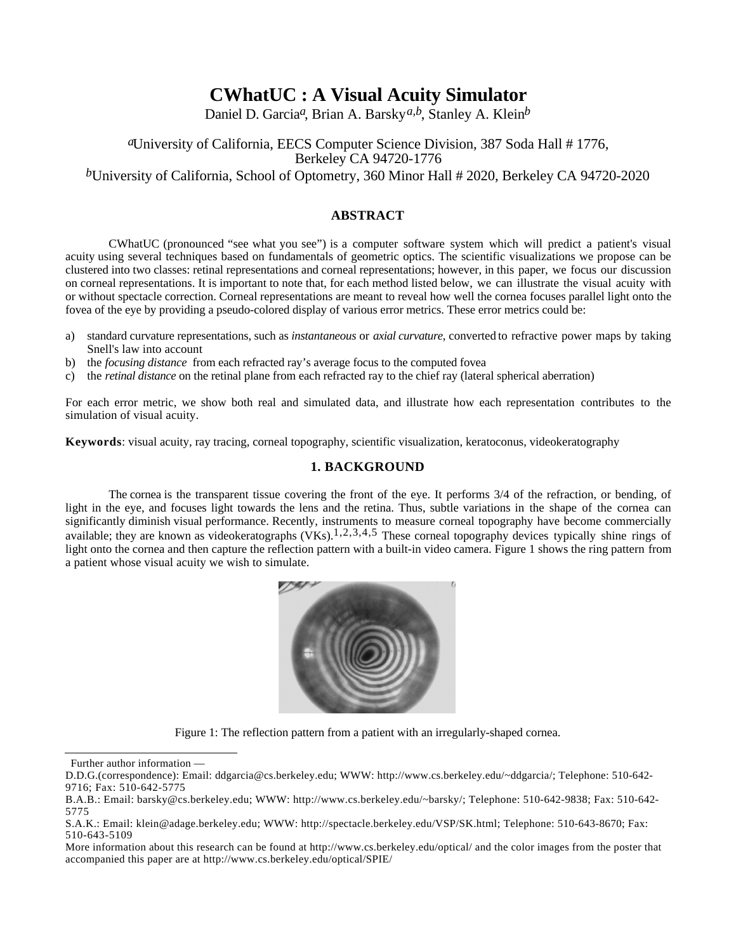# **CWhatUC : A Visual Acuity Simulator**

Daniel D. Garcia*a*, Brian A. Barsky*a,b*, Stanley A. Klein*b*

## *a*University of California, EECS Computer Science Division, 387 Soda Hall # 1776, Berkeley CA 94720-1776

*b*University of California, School of Optometry, 360 Minor Hall # 2020, Berkeley CA 94720-2020

## **ABSTRACT**

CWhatUC (pronounced "see what you see") is a computer software system which will predict a patient's visual acuity using several techniques based on fundamentals of geometric optics. The scientific visualizations we propose can be clustered into two classes: retinal representations and corneal representations; however, in this paper, we focus our discussion on corneal representations. It is important to note that, for each method listed below, we can illustrate the visual acuity with or without spectacle correction. Corneal representations are meant to reveal how well the cornea focuses parallel light onto the fovea of the eye by providing a pseudo-colored display of various error metrics. These error metrics could be:

- a) standard curvature representations, such as *instantaneous* or *axial curvature*, converted to refractive power maps by taking Snell's law into account
- b) the *focusing distance* from each refracted ray's average focus to the computed fovea
- c) the *retinal distance* on the retinal plane from each refracted ray to the chief ray (lateral spherical aberration)

For each error metric, we show both real and simulated data, and illustrate how each representation contributes to the simulation of visual acuity.

**Keywords**: visual acuity, ray tracing, corneal topography, scientific visualization, keratoconus, videokeratography

## **1. BACKGROUND**

The cornea is the transparent tissue covering the front of the eye. It performs 3/4 of the refraction, or bending, of light in the eye, and focuses light towards the lens and the retina. Thus, subtle variations in the shape of the cornea can significantly diminish visual performance. Recently, instruments to measure corneal topography have become commercially available; they are known as videokeratographs  $(VK<sub>S</sub>)$ .<sup>1,2,3,4,5</sup> These corneal topography devices typically shine rings of light onto the cornea and then capture the reflection pattern with a built-in video camera. Figure 1 shows the ring pattern from a patient whose visual acuity we wish to simulate.



Figure 1: The reflection pattern from a patient with an irregularly-shaped cornea.

Further author information —

D.D.G.(correspondence): Email: ddgarcia@cs.berkeley.edu; WWW: http://www.cs.berkeley.edu/~ddgarcia/; Telephone: 510-642- 9716; Fax: 510-642-5775

B.A.B.: Email: barsky@cs.berkeley.edu; WWW: http://www.cs.berkeley.edu/~barsky/; Telephone: 510-642-9838; Fax: 510-642- 5775

S.A.K.: Email: klein@adage.berkeley.edu; WWW: http://spectacle.berkeley.edu/VSP/SK.html; Telephone: 510-643-8670; Fax: 510-643-5109

More information about this research can be found at http://www.cs.berkeley.edu/optical/ and the color images from the poster that accompanied this paper are at http://www.cs.berkeley.edu/optical/SPIE/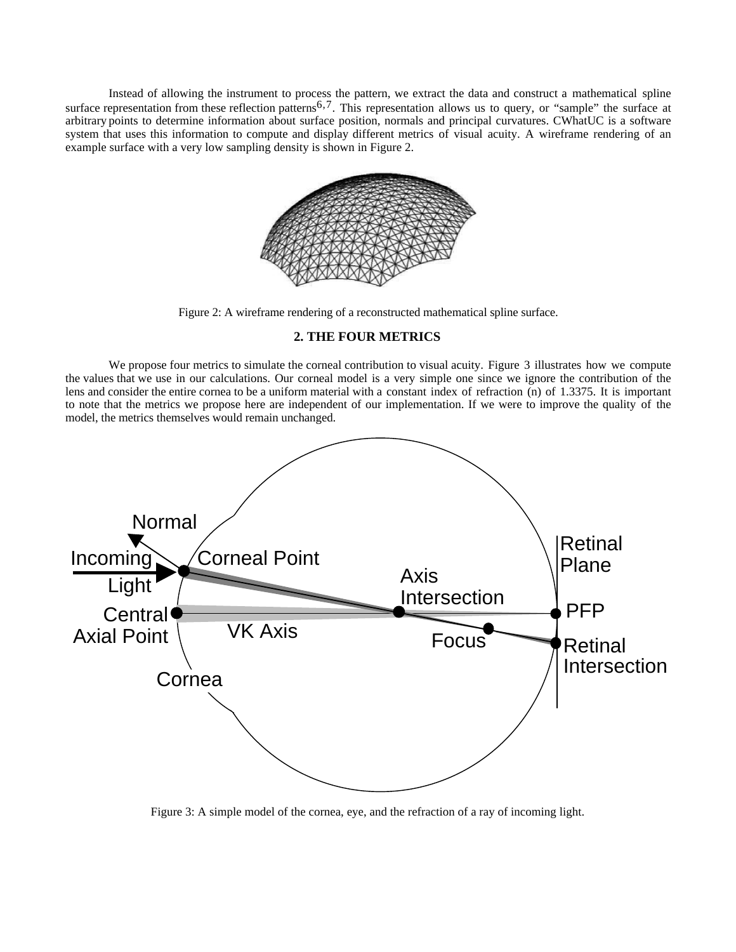Instead of allowing the instrument to process the pattern, we extract the data and construct a mathematical spline surface representation from these reflection patterns<sup>6,7</sup>. This representation allows us to query, or "sample" the surface at arbitrary points to determine information about surface position, normals and principal curvatures. CWhatUC is a software system that uses this information to compute and display different metrics of visual acuity. A wireframe rendering of an example surface with a very low sampling density is shown in Figure 2.



Figure 2: A wireframe rendering of a reconstructed mathematical spline surface.

## **2. THE FOUR METRICS**

We propose four metrics to simulate the corneal contribution to visual acuity. Figure 3 illustrates how we compute the values that we use in our calculations. Our corneal model is a very simple one since we ignore the contribution of the lens and consider the entire cornea to be a uniform material with a constant index of refraction (n) of 1.3375. It is important to note that the metrics we propose here are independent of our implementation. If we were to improve the quality of the model, the metrics themselves would remain unchanged.



Figure 3: A simple model of the cornea, eye, and the refraction of a ray of incoming light.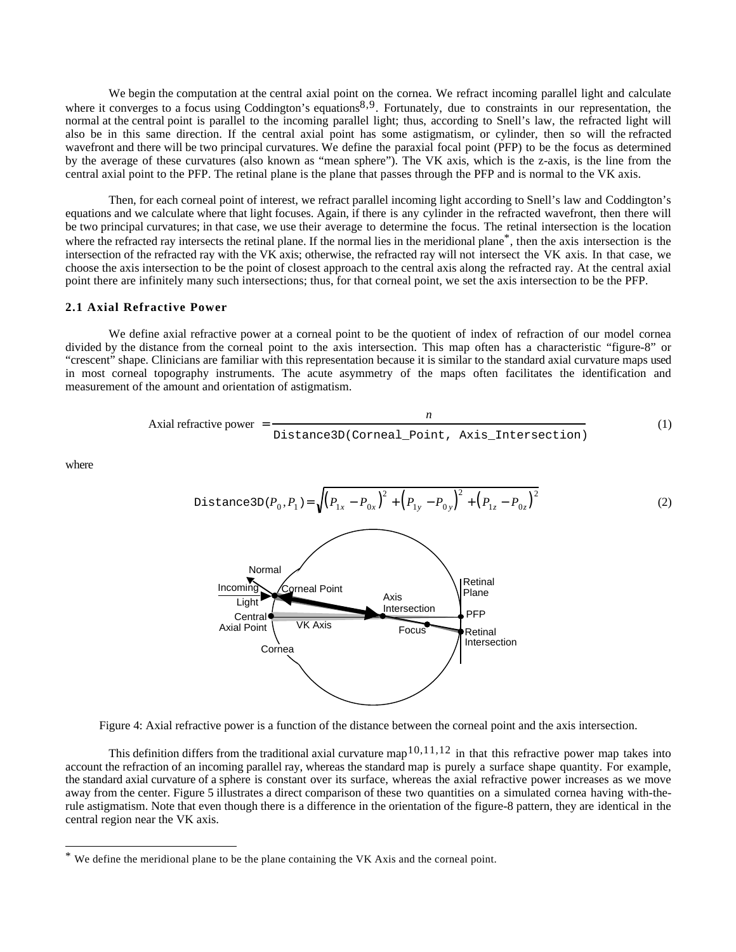We begin the computation at the central axial point on the cornea. We refract incoming parallel light and calculate where it converges to a focus using Coddington's equations<sup>8,9</sup>. Fortunately, due to constraints in our representation, the normal at the central point is parallel to the incoming parallel light; thus, according to Snell's law, the refracted light will also be in this same direction. If the central axial point has some astigmatism, or cylinder, then so will the refracted wavefront and there will be two principal curvatures. We define the paraxial focal point (PFP) to be the focus as determined by the average of these curvatures (also known as "mean sphere"). The VK axis, which is the z-axis, is the line from the central axial point to the PFP. The retinal plane is the plane that passes through the PFP and is normal to the VK axis.

Then, for each corneal point of interest, we refract parallel incoming light according to Snell's law and Coddington's equations and we calculate where that light focuses. Again, if there is any cylinder in the refracted wavefront, then there will be two principal curvatures; in that case, we use their average to determine the focus. The retinal intersection is the location where the refracted ray intersects the retinal plane. If the normal lies in the meridional plane<sup>\*</sup>, then the axis intersection is the intersection of the refracted ray with the VK axis; otherwise, the refracted ray will not intersect the VK axis. In that case, we choose the axis intersection to be the point of closest approach to the central axis along the refracted ray. At the central axial point there are infinitely many such intersections; thus, for that corneal point, we set the axis intersection to be the PFP.

#### **2.1 Axial Refractive Power**

We define axial refractive power at a corneal point to be the quotient of index of refraction of our model cornea divided by the distance from the corneal point to the axis intersection. This map often has a characteristic "figure-8" or "crescent" shape. Clinicians are familiar with this representation because it is similar to the standard axial curvature maps used in most corneal topography instruments. The acute asymmetry of the maps often facilitates the identification and measurement of the amount and orientation of astigmatism.

$$
Axial refractive power = \frac{n}{Distance3D(Corneal\_Point, Axis_Intersection)}
$$
 (1)

where





This definition differs from the traditional axial curvature map<sup>10,11,12</sup> in that this refractive power map takes into account the refraction of an incoming parallel ray, whereas the standard map is purely a surface shape quantity. For example, the standard axial curvature of a sphere is constant over its surface, whereas the axial refractive power increases as we move away from the center. Figure 5 illustrates a direct comparison of these two quantities on a simulated cornea having with-therule astigmatism. Note that even though there is a difference in the orientation of the figure-8 pattern, they are identical in the central region near the VK axis.

We define the meridional plane to be the plane containing the VK Axis and the corneal point.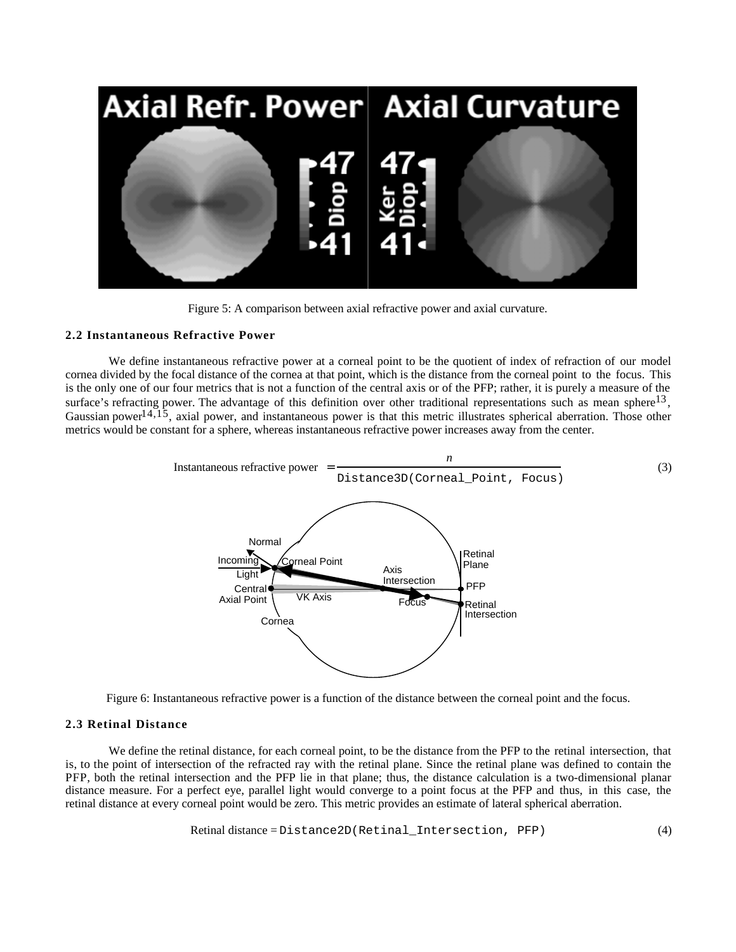

Figure 5: A comparison between axial refractive power and axial curvature.

#### **2.2 Instantaneous Refractive Power**

We define instantaneous refractive power at a corneal point to be the quotient of index of refraction of our model cornea divided by the focal distance of the cornea at that point, which is the distance from the corneal point to the focus. This is the only one of our four metrics that is not a function of the central axis or of the PFP; rather, it is purely a measure of the surface's refracting power. The advantage of this definition over other traditional representations such as mean sphere $^{13}$ , Gaussian power $1^{4,15}$ , axial power, and instantaneous power is that this metric illustrates spherical aberration. Those other metrics would be constant for a sphere, whereas instantaneous refractive power increases away from the center.



Figure 6: Instantaneous refractive power is a function of the distance between the corneal point and the focus.

#### **2.3 Retinal Distance**

We define the retinal distance, for each corneal point, to be the distance from the PFP to the retinal intersection, that is, to the point of intersection of the refracted ray with the retinal plane. Since the retinal plane was defined to contain the PFP, both the retinal intersection and the PFP lie in that plane; thus, the distance calculation is a two-dimensional planar distance measure. For a perfect eye, parallel light would converge to a point focus at the PFP and thus, in this case, the retinal distance at every corneal point would be zero. This metric provides an estimate of lateral spherical aberration.

Retinal distance = Distance2D(Retinal\_Intersection, PFP) (4)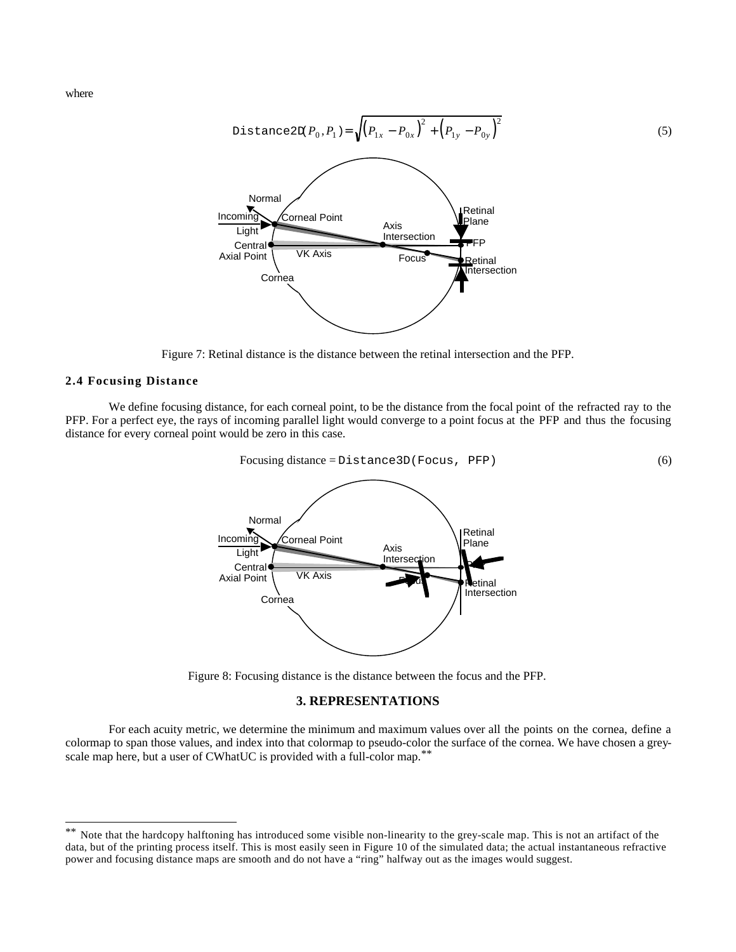where



Figure 7: Retinal distance is the distance between the retinal intersection and the PFP.

#### **2.4 Focusing Distance**

We define focusing distance, for each corneal point, to be the distance from the focal point of the refracted ray to the PFP. For a perfect eye, the rays of incoming parallel light would converge to a point focus at the PFP and thus the focusing distance for every corneal point would be zero in this case.



Figure 8: Focusing distance is the distance between the focus and the PFP.

#### **3. REPRESENTATIONS**

For each acuity metric, we determine the minimum and maximum values over all the points on the cornea, define a colormap to span those values, and index into that colormap to pseudo-color the surface of the cornea. We have chosen a greyscale map here, but a user of CWhatUC is provided with a full-color map.<sup>\*\*</sup>

<sup>\*\*</sup> Note that the hardcopy halftoning has introduced some visible non-linearity to the grey-scale map. This is not an artifact of the data, but of the printing process itself. This is most easily seen in Figure 10 of the simulated data; the actual instantaneous refractive power and focusing distance maps are smooth and do not have a "ring" halfway out as the images would suggest.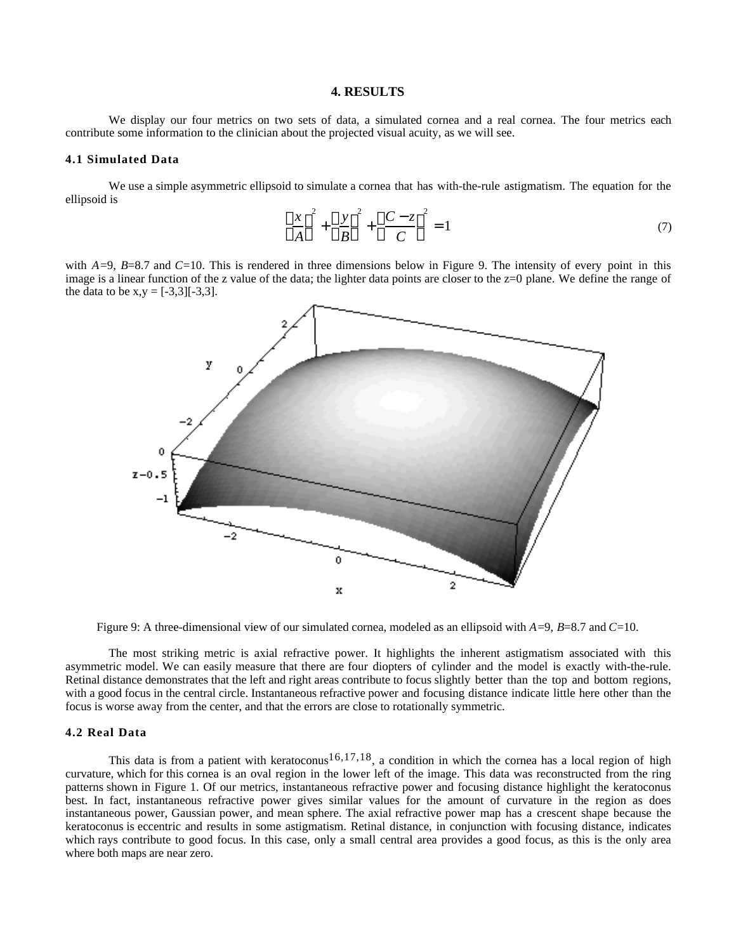#### **4. RESULTS**

We display our four metrics on two sets of data, a simulated cornea and a real cornea. The four metrics each contribute some information to the clinician about the projected visual acuity, as we will see.

#### **4.1 Simulated Data**

We use a simple asymmetric ellipsoid to simulate a cornea that has with-the-rule astigmatism. The equation for the ellipsoid is

$$
\frac{x}{A}^{2} + \frac{y}{B}^{2} + \frac{C-z}{C}^{2} = 1
$$
 (7)

with  $A=9$ ,  $B=8.7$  and  $C=10$ . This is rendered in three dimensions below in Figure 9. The intensity of every point in this image is a linear function of the z value of the data; the lighter data points are closer to the z=0 plane. We define the range of the data to be  $x,y = [-3,3][-3,3]$ .



Figure 9: A three-dimensional view of our simulated cornea, modeled as an ellipsoid with *A*=9, *B*=8.7 and *C*=10.

The most striking metric is axial refractive power. It highlights the inherent astigmatism associated with this asymmetric model. We can easily measure that there are four diopters of cylinder and the model is exactly with-the-rule. Retinal distance demonstrates that the left and right areas contribute to focus slightly better than the top and bottom regions, with a good focus in the central circle. Instantaneous refractive power and focusing distance indicate little here other than the focus is worse away from the center, and that the errors are close to rotationally symmetric.

#### **4.2 Real Data**

This data is from a patient with keratoconus<sup>16,17,18</sup>, a condition in which the cornea has a local region of high curvature, which for this cornea is an oval region in the lower left of the image. This data was reconstructed from the ring patterns shown in Figure 1. Of our metrics, instantaneous refractive power and focusing distance highlight the keratoconus best. In fact, instantaneous refractive power gives similar values for the amount of curvature in the region as does instantaneous power, Gaussian power, and mean sphere. The axial refractive power map has a crescent shape because the keratoconus is eccentric and results in some astigmatism. Retinal distance, in conjunction with focusing distance, indicates which rays contribute to good focus. In this case, only a small central area provides a good focus, as this is the only area where both maps are near zero.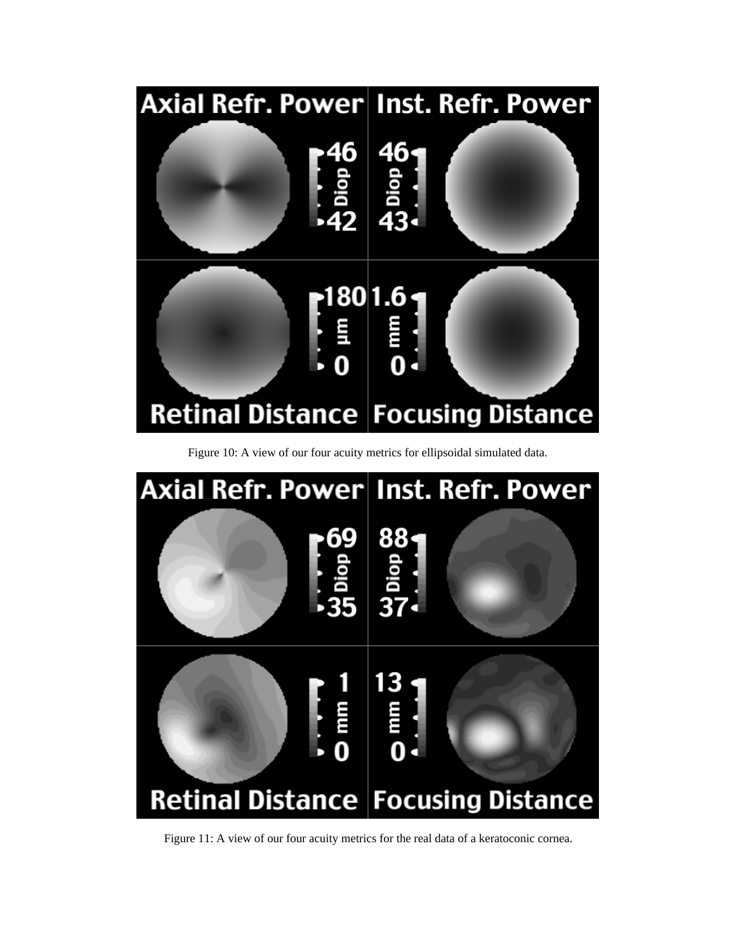

Figure 10: A view of our four acuity metrics for ellipsoidal simulated data.



Figure 11: A view of our four acuity metrics for the real data of a keratoconic cornea.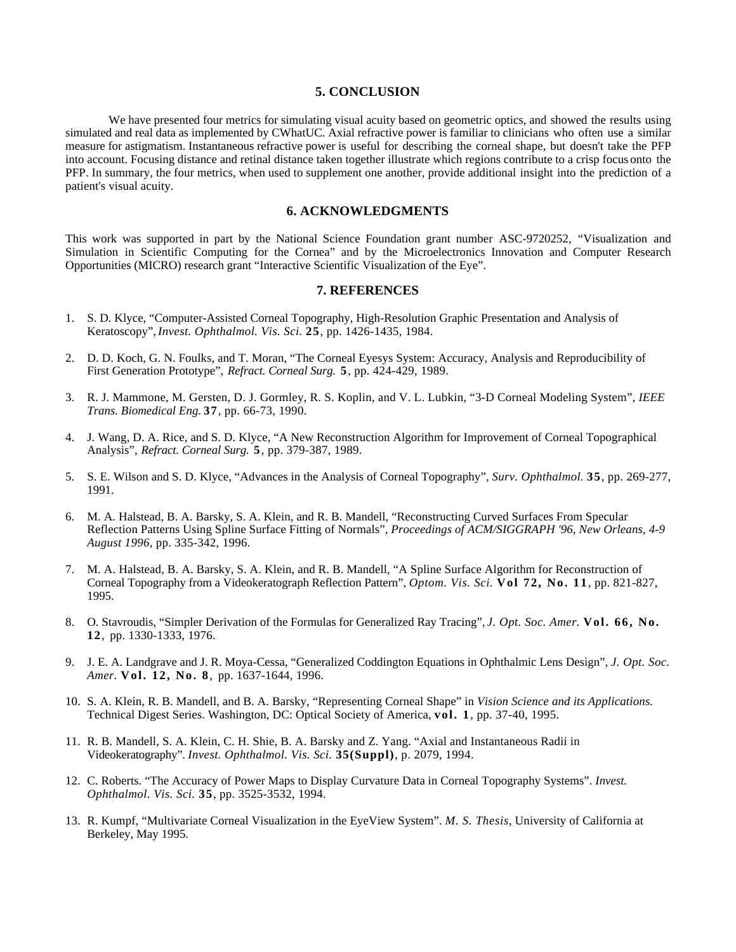#### **5. CONCLUSION**

We have presented four metrics for simulating visual acuity based on geometric optics, and showed the results using simulated and real data as implemented by CWhatUC. Axial refractive power is familiar to clinicians who often use a similar measure for astigmatism. Instantaneous refractive power is useful for describing the corneal shape, but doesn't take the PFP into account. Focusing distance and retinal distance taken together illustrate which regions contribute to a crisp focus onto the PFP. In summary, the four metrics, when used to supplement one another, provide additional insight into the prediction of a patient's visual acuity.

## **6. ACKNOWLEDGMENTS**

This work was supported in part by the National Science Foundation grant number ASC-9720252, "Visualization and Simulation in Scientific Computing for the Cornea" and by the Microelectronics Innovation and Computer Research Opportunities (MICRO) research grant "Interactive Scientific Visualization of the Eye".

#### **7. REFERENCES**

- 1. S. D. Klyce, "Computer-Assisted Corneal Topography, High-Resolution Graphic Presentation and Analysis of Keratoscopy", *Invest. Ophthalmol. Vis. Sci.* **25**, pp. 1426-1435, 1984.
- 2. D. D. Koch, G. N. Foulks, and T. Moran, "The Corneal Eyesys System: Accuracy, Analysis and Reproducibility of First Generation Prototype", *Refract. Corneal Surg.* **5**, pp. 424-429, 1989.
- 3. R. J. Mammone, M. Gersten, D. J. Gormley, R. S. Koplin, and V. L. Lubkin, "3-D Corneal Modeling System", *IEEE Trans. Biomedical Eng.* **37**, pp. 66-73, 1990.
- 4. J. Wang, D. A. Rice, and S. D. Klyce, "A New Reconstruction Algorithm for Improvement of Corneal Topographical Analysis", *Refract. Corneal Surg.* **5**, pp. 379-387, 1989.
- 5. S. E. Wilson and S. D. Klyce, "Advances in the Analysis of Corneal Topography", *Surv. Ophthalmol.* **35**, pp. 269-277, 1991.
- 6. M. A. Halstead, B. A. Barsky, S. A. Klein, and R. B. Mandell, "Reconstructing Curved Surfaces From Specular Reflection Patterns Using Spline Surface Fitting of Normals", *Proceedings of ACM/SIGGRAPH '96, New Orleans, 4-9 August 1996*, pp. 335-342, 1996.
- 7. M. A. Halstead, B. A. Barsky, S. A. Klein, and R. B. Mandell, "A Spline Surface Algorithm for Reconstruction of Corneal Topography from a Videokeratograph Reflection Pattern", *Optom. Vis. Sci.* **Vol 72, No. 11**, pp. 821-827, 1995.
- 8. O. Stavroudis, "Simpler Derivation of the Formulas for Generalized Ray Tracing", *J. Opt. Soc. Amer.* **Vol. 66, No. 12**, pp. 1330-1333, 1976.
- 9. J. E. A. Landgrave and J. R. Moya-Cessa, "Generalized Coddington Equations in Ophthalmic Lens Design", *J. Opt. Soc. Amer.* **Vol. 12, No. 8**, pp. 1637-1644, 1996.
- 10. S. A. Klein, R. B. Mandell, and B. A. Barsky, "Representing Corneal Shape" in *Vision Science and its Applications.* Technical Digest Series. Washington, DC: Optical Society of America, **vol. 1**, pp. 37-40, 1995.
- 11. R. B. Mandell, S. A. Klein, C. H. Shie, B. A. Barsky and Z. Yang. "Axial and Instantaneous Radii in Videokeratography". *Invest. Ophthalmol. Vis. Sci.* **35(Suppl)**, p. 2079, 1994.
- 12. C. Roberts. "The Accuracy of Power Maps to Display Curvature Data in Corneal Topography Systems". *Invest. Ophthalmol. Vis. Sci.* **35**, pp. 3525-3532, 1994.
- 13. R. Kumpf, "Multivariate Corneal Visualization in the EyeView System". *M. S. Thesis*, University of California at Berkeley, May 1995.